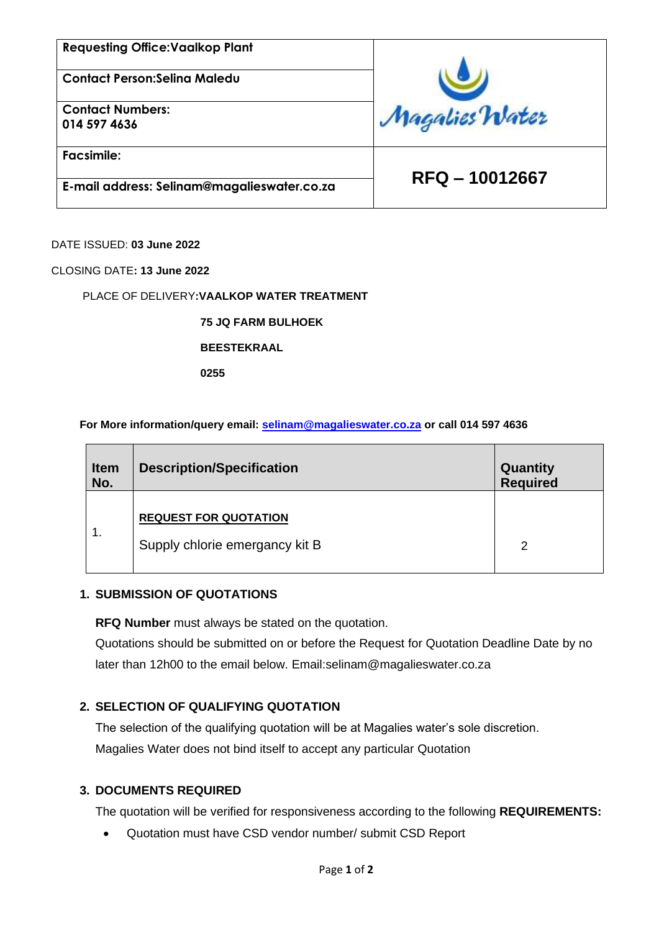| <b>Requesting Office: Vaalkop Plant</b>     |                |  |
|---------------------------------------------|----------------|--|
| <b>Contact Person: Seling Maledu</b>        |                |  |
| <b>Contact Numbers:</b><br>014 597 4636     | Magalies Water |  |
| <b>Facsimile:</b>                           |                |  |
| E-mail address: Selinam@magalieswater.co.za | RFQ-10012667   |  |

DATE ISSUED: **03 June 2022**

CLOSING DATE**: 13 June 2022**

### PLACE OF DELIVERY**:VAALKOP WATER TREATMENT**

**75 JQ FARM BULHOEK**

#### **BEESTEKRAAL**

**0255**

**For More information/query email: [selinam@magalieswater.co.za](mailto:selinam@magalieswater.co.za) or call 014 597 4636**

| <b>Item</b><br>No. | <b>Description/Specification</b>                               | Quantity<br><b>Required</b> |
|--------------------|----------------------------------------------------------------|-----------------------------|
| ι.                 | <b>REQUEST FOR QUOTATION</b><br>Supply chlorie emergancy kit B | $\mathcal{P}$               |

## **1. SUBMISSION OF QUOTATIONS**

**RFQ Number** must always be stated on the quotation.

Quotations should be submitted on or before the Request for Quotation Deadline Date by no later than 12h00 to the email below. Email:selinam@magalieswater.co.za

## **2. SELECTION OF QUALIFYING QUOTATION**

The selection of the qualifying quotation will be at Magalies water's sole discretion. Magalies Water does not bind itself to accept any particular Quotation

### **3. DOCUMENTS REQUIRED**

The quotation will be verified for responsiveness according to the following **REQUIREMENTS:**

• Quotation must have CSD vendor number/ submit CSD Report